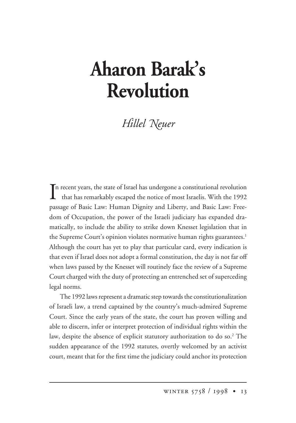## **Aharon Barak's Revolution**

*illel -euer*

In recent years, the state of Israel has undergone a constitutional revolution<br>that has remarkably escaped the notice of most Israelis. With the 1992 that has remarkably escaped the notice of most Israelis. With the 1992 passage of Basic Law: Human Dignity and Liberty, and Basic Law: Freedom of Occupation, the power of the Israeli judiciary has expanded dramatically, to include the ability to strike down Knesset legislation that in the Supreme Court's opinion violates normative human rights guarantees.<sup>1</sup> Although the court has yet to play that particular card, every indication is that even if Israel does not adopt a formal constitution, the day is not far off when laws passed by the Knesset will routinely face the review of a Supreme Court charged with the duty of protecting an entrenched set of superceding legal norms.

The 1992 laws represent a dramatic step towards the constitutionalization of Israeli law, a trend captained by the country's much-admired Supreme Court. Since the early years of the state, the court has proven willing and able to discern, infer or interpret protection of individual rights within the law, despite the absence of explicit statutory authorization to do so.<sup>2</sup> The sudden appearance of the 1992 statutes, overtly welcomed by an activist court, meant that for the first time the judiciary could anchor its protection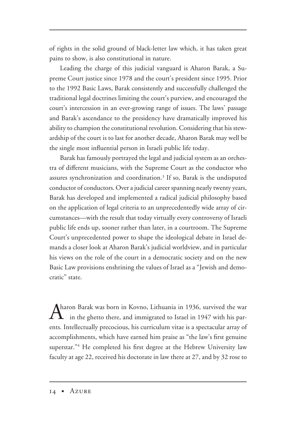of rights in the solid ground of black-letter law which, it has taken great pains to show, is also constitutional in nature.

Leading the charge of this judicial vanguard is Aharon Barak, a Supreme Court justice since 1978 and the court's president since 1995. Prior to the 1992 Basic Laws, Barak consistently and successfully challenged the traditional legal doctrines limiting the court's purview, and encouraged the court's intercession in an ever-growing range of issues. The laws' passage and Barak's ascendance to the presidency have dramatically improved his ability to champion the constitutional revolution. Considering that his stewardship of the court is to last for another decade, Aharon Barak may well be the single most influential person in Israeli public life today.

Barak has famously portrayed the legal and judicial system as an orchestra of different musicians, with the Supreme Court as the conductor who assures synchronization and coordination.<sup>3</sup> If so, Barak is the undisputed conductor of conductors. Over a judicial career spanning nearly twenty years, Barak has developed and implemented a radical judicial philosophy based on the application of legal criteria to an unprecedentedly wide array of circumstances—with the result that today virtually every controversy of Israeli public life ends up, sooner rather than later, in a courtroom. The Supreme Court's unprecedented power to shape the ideological debate in Israel demands a closer look at Aharon Barak's judicial worldview, and in particular his views on the role of the court in a democratic society and on the new Basic Law provisions enshrining the values of Israel as a "Jewish and democratic" state.

Aharon Barak was born in Kovno, Lithuania in 1936, survived the war in the ghetto there, and immigrated to Israel in 1947 with his parents. Intellectually precocious, his curriculum vitae is a spectacular array of accomplishments, which have earned him praise as "the law's first genuine superstar."<sup>4</sup> He completed his first degree at the Hebrew University law faculty at age 22, received his doctorate in law there at 27, and by 32 rose to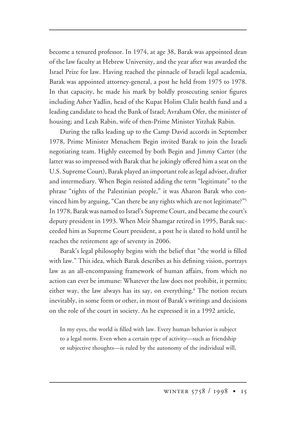become a tenured professor. In 1974, at age 38, Barak was appointed dean of the law faculty at Hebrew University, and the year after was awarded the Israel Prize for law. Having reached the pinnacle of Israeli legal academia, Barak was appointed attorney-general, a post he held from 1975 to 1978. In that capacity, he made his mark by boldly prosecuting senior figures including Asher Yadlin, head of the Kupat Holim Clalit health fund and a leading candidate to head the Bank of Israel; Avraham Ofer, the minister of housing; and Leah Rabin, wife of then-Prime Minister Yitzhak Rabin.

During the talks leading up to the Camp David accords in September 1978, Prime Minister Menachem Begin invited Barak to join the Israeli negotiating team. Highly esteemed by both Begin and Jimmy Carter (the latter was so impressed with Barak that he jokingly offered him a seat on the U.S. Supreme Court), Barak played an important role as legal adviser, drafter and intermediary. When Begin resisted adding the term "legitimate" to the phrase "rights of the Palestinian people," it was Aharon Barak who convinced him by arguing, "Can there be any rights which are not legitimate?"5 In 1978, Barak was named to Israel's Supreme Court, and became the court's deputy president in 1993. When Meir Shamgar retired in 1995, Barak succeeded him as Supreme Court president, a post he is slated to hold until he reaches the retirement age of seventy in 2006.

Barak's legal philosophy begins with the belief that "the world is filled with law." This idea, which Barak describes as his defining vision, portrays law as an all-encompassing framework of human affairs, from which no action can ever be immune: Whatever the law does not prohibit, it permits; either way, the law always has its say, on everything.<sup>6</sup> The notion recurs inevitably, in some form or other, in most of Barak's writings and decisions on the role of the court in society. As he expressed it in a 1992 article,

In my eyes, the world is filled with law. Every human behavior is subject to a legal norm. Even when a certain type of activity—such as friendship or subjective thoughts—is ruled by the autonomy of the individual will,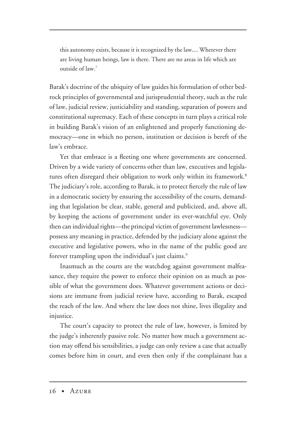this autonomy exists, because it is recognized by the law.... Wherever there are living human beings, law is there. There are no areas in life which are outside of law.7

Barak's doctrine of the ubiquity of law guides his formulation of other bedrock principles of governmental and jurisprudential theory, such as the rule of law, judicial review, justiciability and standing, separation of powers and constitutional supremacy. Each of these concepts in turn plays a critical role in building Barak's vision of an enlightened and properly functioning democracy—one in which no person, institution or decision is bereft of the law's embrace.

Yet that embrace is a fleeting one where governments are concerned. Driven by a wide variety of concerns other than law, executives and legislatures often disregard their obligation to work only within its framework.<sup>8</sup> The judiciary's role, according to Barak, is to protect fiercely the rule of law in a democratic society by ensuring the accessibility of the courts, demanding that legislation be clear, stable, general and publicized, and, above all, by keeping the actions of government under its ever-watchful eye. Only then can individual rights—the principal victim of government lawlessness possess any meaning in practice, defended by the judiciary alone against the executive and legislative powers, who in the name of the public good are forever trampling upon the individual's just claims.<sup>9</sup>

Inasmuch as the courts are the watchdog against government malfeasance, they require the power to enforce their opinion on as much as possible of what the government does. Whatever government actions or decisions are immune from judicial review have, according to Barak, escaped the reach of the law. And where the law does not shine, lives illegality and injustice.

The court's capacity to protect the rule of law, however, is limited by the judge's inherently passive role. No matter how much a government action may offend his sensibilities, a judge can only review a case that actually comes before him in court, and even then only if the complainant has a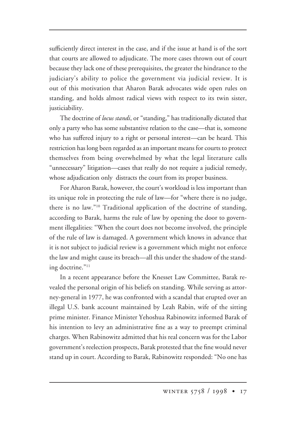sufficiently direct interest in the case, and if the issue at hand is of the sort that courts are allowed to adjudicate. The more cases thrown out of court because they lack one of these prerequisites, the greater the hindrance to the judiciary's ability to police the government via judicial review. It is out of this motivation that Aharon Barak advocates wide open rules on standing, and holds almost radical views with respect to its twin sister, justiciability.

The doctrine of *locus standi*, or "standing," has traditionally dictated that only a party who has some substantive relation to the case—that is, someone who has suffered injury to a right or personal interest—can be heard. This restriction has long been regarded as an important means for courts to protect themselves from being overwhelmed by what the legal literature calls "unnecessary" litigation—cases that really do not require a judicial remedy, whose adjudication only distracts the court from its proper business.

For Aharon Barak, however, the court's workload is less important than its unique role in protecting the rule of law—for "where there is no judge, there is no law."10 Traditional application of the doctrine of standing, according to Barak, harms the rule of law by opening the door to government illegalities: "When the court does not become involved, the principle of the rule of law is damaged. A government which knows in advance that it is not subject to judicial review is a government which might not enforce the law and might cause its breach—all this under the shadow of the standing doctrine."11

In a recent appearance before the Knesset Law Committee, Barak revealed the personal origin of his beliefs on standing. While serving as attorney-general in 1977, he was confronted with a scandal that erupted over an illegal U.S. bank account maintained by Leah Rabin, wife of the sitting prime minister. Finance Minister Yehoshua Rabinowitz informed Barak of his intention to levy an administrative fine as a way to preempt criminal charges. When Rabinowitz admitted that his real concern was for the Labor government's reelection prospects, Barak protested that the fine would never stand up in court. According to Barak, Rabinowitz responded: "No one has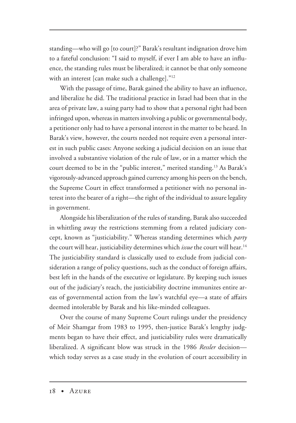standing—who will go [to court]?" Barak's resultant indignation drove him to a fateful conclusion: "I said to myself, if ever I am able to have an influence, the standing rules must be liberalized; it cannot be that only someone with an interest [can make such a challenge]."12

With the passage of time, Barak gained the ability to have an influence, and liberalize he did. The traditional practice in Israel had been that in the area of private law, a suing party had to show that a personal right had been infringed upon, whereas in matters involving a public or governmental body, a petitioner only had to have a personal interest in the matter to be heard. In Barak's view, however, the courts needed not require even a personal interest in such public cases: Anyone seeking a judicial decision on an issue that involved a substantive violation of the rule of law, or in a matter which the court deemed to be in the "public interest," merited standing.13 As Barak's vigorously-advanced approach gained currency among his peers on the bench, the Supreme Court in effect transformed a petitioner with no personal interest into the bearer of a right—the right of the individual to assure legality in government.

Alongside his liberalization of the rules of standing, Barak also succeeded in whittling away the restrictions stemming from a related judiciary concept, known as "justiciability." Whereas standing determines which *party* the court will hear, justiciability determines which *issue* the court will hear.14 The justiciability standard is classically used to exclude from judicial consideration a range of policy questions, such as the conduct of foreign affairs, best left in the hands of the executive or legislature. By keeping such issues out of the judiciary's reach, the justiciability doctrine immunizes entire areas of governmental action from the law's watchful eye—a state of affairs deemed intolerable by Barak and his like-minded colleagues.

Over the course of many Supreme Court rulings under the presidency of Meir Shamgar from 1983 to 1995, then-justice Barak's lengthy judgments began to have their effect, and justiciability rules were dramatically liberalized. A significant blow was struck in the 1986 *Ressler* decision which today serves as a case study in the evolution of court accessibility in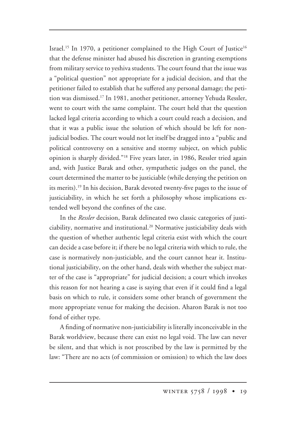Israel.<sup>15</sup> In 1970, a petitioner complained to the High Court of Justice<sup>16</sup> that the defense minister had abused his discretion in granting exemptions from military service to yeshiva students. The court found that the issue was a "political question" not appropriate for a judicial decision, and that the petitioner failed to establish that he suffered any personal damage; the petition was dismissed.17 In 1981, another petitioner, attorney Yehuda Ressler, went to court with the same complaint. The court held that the question lacked legal criteria according to which a court could reach a decision, and that it was a public issue the solution of which should be left for nonjudicial bodies. The court would not let itself be dragged into a "public and political controversy on a sensitive and stormy subject, on which public opinion is sharply divided."18 Five years later, in 1986, Ressler tried again and, with Justice Barak and other, sympathetic judges on the panel, the court determined the matter to be justiciable (while denying the petition on its merits).<sup>19</sup> In his decision, Barak devoted twenty-five pages to the issue of justiciability, in which he set forth a philosophy whose implications extended well beyond the confines of the case.

In the *Ressler* decision, Barak delineated two classic categories of justiciability, normative and institutional.20 Normative justiciability deals with the question of whether authentic legal criteria exist with which the court can decide a case before it; if there be no legal criteria with which to rule, the case is normatively non-justiciable, and the court cannot hear it. Institutional justiciability, on the other hand, deals with whether the subject matter of the case is "appropriate" for judicial decision; a court which invokes this reason for not hearing a case is saying that even if it could find a legal basis on which to rule, it considers some other branch of government the more appropriate venue for making the decision. Aharon Barak is not too fond of either type.

A finding of normative non-justiciability is literally inconceivable in the Barak worldview, because there can exist no legal void. The law can never be silent, and that which is not proscribed by the law is permitted by the law: "There are no acts (of commission or omission) to which the law does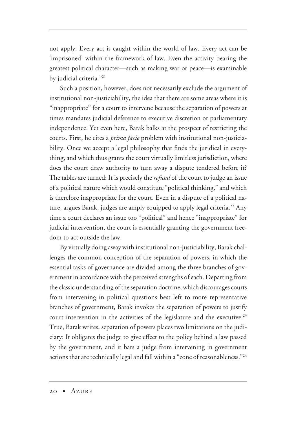not apply. Every act is caught within the world of law. Every act can be 'imprisoned' within the framework of law. Even the activity bearing the greatest political character—such as making war or peace—is examinable by judicial criteria."21

Such a position, however, does not necessarily exclude the argument of institutional non-justiciability, the idea that there are some areas where it is "inappropriate" for a court to intervene because the separation of powers at times mandates judicial deference to executive discretion or parliamentary independence. Yet even here, Barak balks at the prospect of restricting the courts. First, he cites a *prima facie* problem with institutional non-justiciability. Once we accept a legal philosophy that finds the juridical in everything, and which thus grants the court virtually limitless jurisdiction, where does the court draw authority to turn away a dispute tendered before it? The tables are turned: It is precisely the *refusal* of the court to judge an issue of a political nature which would constitute "political thinking," and which is therefore inappropriate for the court. Even in a dispute of a political nature, argues Barak, judges are amply equipped to apply legal criteria.<sup>22</sup> Any time a court declares an issue too "political" and hence "inappropriate" for judicial intervention, the court is essentially granting the government freedom to act outside the law.

By virtually doing away with institutional non-justiciability, Barak challenges the common conception of the separation of powers, in which the essential tasks of governance are divided among the three branches of government in accordance with the perceived strengths of each. Departing from the classic understanding of the separation doctrine, which discourages courts from intervening in political questions best left to more representative branches of government, Barak invokes the separation of powers to justify court intervention in the activities of the legislature and the executive.<sup>23</sup> True, Barak writes, separation of powers places two limitations on the judiciary: It obligates the judge to give effect to the policy behind a law passed by the government, and it bars a judge from intervening in government actions that are technically legal and fall within a "zone of reasonableness."24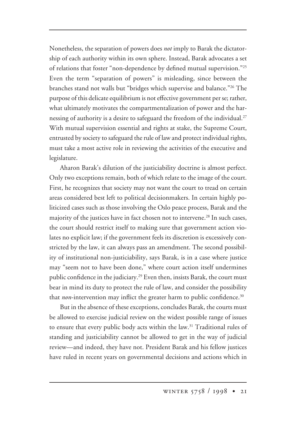Nonetheless, the separation of powers does *not* imply to Barak the dictatorship of each authority within its own sphere. Instead, Barak advocates a set of relations that foster "non-dependence by defined mutual supervision."25 Even the term "separation of powers" is misleading, since between the branches stand not walls but "bridges which supervise and balance."26 The purpose of this delicate equilibrium is not effective government per se; rather, what ultimately motivates the compartmentalization of power and the harnessing of authority is a desire to safeguard the freedom of the individual.<sup>27</sup> With mutual supervision essential and rights at stake, the Supreme Court, entrusted by society to safeguard the rule of law and protect individual rights, must take a most active role in reviewing the activities of the executive and legislature.

Aharon Barak's dilution of the justiciability doctrine is almost perfect. Only two exceptions remain, both of which relate to the image of the court. First, he recognizes that society may not want the court to tread on certain areas considered best left to political decisionmakers. In certain highly politicized cases such as those involving the Oslo peace process, Barak and the majority of the justices have in fact chosen not to intervene.<sup>28</sup> In such cases, the court should restrict itself to making sure that government action violates no explicit law; if the government feels its discretion is excessively constricted by the law, it can always pass an amendment. The second possibility of institutional non-justiciability, says Barak, is in a case where justice may "seem not to have been done," where court action itself undermines public confidence in the judiciary.<sup>29</sup> Even then, insists Barak, the court must bear in mind its duty to protect the rule of law, and consider the possibility that *non*-intervention may inflict the greater harm to public confidence.<sup>30</sup>

But in the absence of these exceptions, concludes Barak, the courts must be allowed to exercise judicial review on the widest possible range of issues to ensure that every public body acts within the law.<sup>31</sup> Traditional rules of standing and justiciability cannot be allowed to get in the way of judicial review—and indeed, they have not. President Barak and his fellow justices have ruled in recent years on governmental decisions and actions which in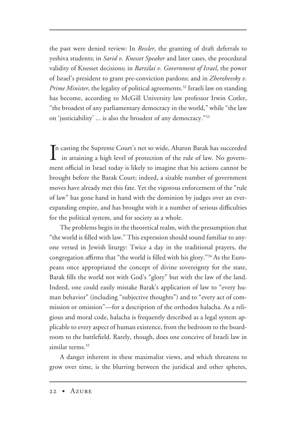the past were denied review: In *Ressler*, the granting of draft deferrals to yeshiva students; in *Sarid v. Knesset Speaker* and later cases, the procedural validity of Knesset decisions; in *Barzilai v. Government of Israel*, the power of Israel's president to grant pre-conviction pardons; and in *Zherzhevsky v. Prime Minister*, the legality of political agreements.32 Israeli law on standing has become, according to McGill University law professor Irwin Cotler, "the broadest of any parliamentary democracy in the world," while "the law on 'justiciability' ... is also the broadest of any democracy."33

In casting the Supreme Court's net so wide, Aharon Barak has succeeded<br>in attaining a high level of protection of the rule of law. No governin attaining a high level of protection of the rule of law. No government official in Israel today is likely to imagine that his actions cannot be brought before the Barak Court; indeed, a sizable number of government moves have already met this fate. Yet the vigorous enforcement of the "rule of law" has gone hand in hand with the dominion by judges over an everexpanding empire, and has brought with it a number of serious difficulties for the political system, and for society as a whole.

The problems begin in the theoretical realm, with the presumption that "the world is filled with law." This expression should sound familiar to anyone versed in Jewish liturgy: Twice a day in the traditional prayers, the congregation affirms that "the world is filled with his glory."34 As the Europeans once appropriated the concept of divine sovereignty for the state, Barak fills the world not with God's "glory" but with the law of the land. Indeed, one could easily mistake Barak's application of law to "every human behavior" (including "subjective thoughts") and to "every act of commission or omission"—for a description of the orthodox halacha. As a religious and moral code, halacha is frequently described as a legal system applicable to every aspect of human existence, from the bedroom to the boardroom to the battlefield. Rarely, though, does one conceive of Israeli law in similar terms.<sup>35</sup>

A danger inherent in these maximalist views, and which threatens to grow over time, is the blurring between the juridical and other spheres,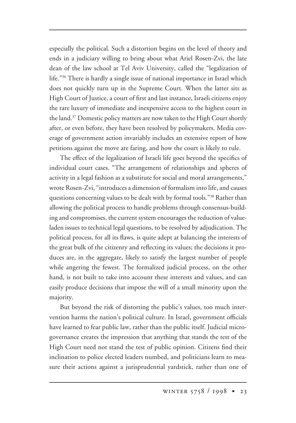especially the political. Such a distortion begins on the level of theory and ends in a judiciary willing to bring about what Ariel Rosen-Zvi, the late dean of the law school at Tel Aviv University, called the "legalization of life."36 There is hardly a single issue of national importance in Israel which does not quickly turn up in the Supreme Court. When the latter sits as High Court of Justice, a court of first and last instance, Israeli citizens enjoy the rare luxury of immediate and inexpensive access to the highest court in the land.<sup>37</sup> Domestic policy matters are now taken to the High Court shortly after, or even before, they have been resolved by policymakers. Media coverage of government action invariably includes an extensive report of how petitions against the move are faring, and how the court is likely to rule.

The effect of the legalization of Israeli life goes beyond the specifics of individual court cases. "The arrangement of relationships and spheres of activity in a legal fashion as a substitute for social and moral arrangements," wrote Rosen-Zvi, "introduces a dimension of formalism into life, and causes questions concerning values to be dealt with by formal tools."<sup>38</sup> Rather than allowing the political process to handle problems through consensus-building and compromises, the current system encourages the reduction of valueladen issues to technical legal questions, to be resolved by adjudication. The political process, for all its flaws, is quite adept at balancing the interests of the great bulk of the citizenry and reflecting its values; the decisions it produces are, in the aggregate, likely to satisfy the largest number of people while angering the fewest. The formalized judicial process, on the other hand, is not built to take into account these interests and values, and can easily produce decisions that impose the will of a small minority upon the majority.

But beyond the risk of distorting the public's values, too much intervention harms the nation's political culture. In Israel, government officials have learned to fear public law, rather than the public itself. Judicial microgovernance creates the impression that anything that stands the test of the High Court need not stand the test of public opinion. Citizens find their inclination to police elected leaders numbed, and politicians learn to measure their actions against a jurisprudential yardstick, rather than one of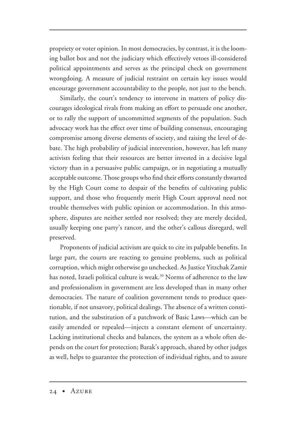propriety or voter opinion. In most democracies, by contrast, it is the looming ballot box and not the judiciary which effectively vetoes ill-considered political appointments and serves as the principal check on government wrongdoing. A measure of judicial restraint on certain key issues would encourage government accountability to the people, not just to the bench.

Similarly, the court's tendency to intervene in matters of policy discourages ideological rivals from making an effort to persuade one another, or to rally the support of uncommitted segments of the population. Such advocacy work has the effect over time of building consensus, encouraging compromise among diverse elements of society, and raising the level of debate. The high probability of judicial intervention, however, has left many activists feeling that their resources are better invested in a decisive legal victory than in a persuasive public campaign, or in negotiating a mutually acceptable outcome. Those groups who find their efforts constantly thwarted by the High Court come to despair of the benefits of cultivating public support, and those who frequently merit High Court approval need not trouble themselves with public opinion or accommodation. In this atmosphere, disputes are neither settled nor resolved; they are merely decided, usually keeping one party's rancor, and the other's callous disregard, well preserved.

Proponents of judicial activism are quick to cite its palpable benefits. In large part, the courts are reacting to genuine problems, such as political corruption, which might otherwise go unchecked. As Justice Yitzchak Zamir has noted, Israeli political culture is weak.<sup>39</sup> Norms of adherence to the law and professionalism in government are less developed than in many other democracies. The nature of coalition government tends to produce questionable, if not unsavory, political dealings. The absence of a written constitution, and the substitution of a patchwork of Basic Laws—which can be easily amended or repealed—injects a constant element of uncertainty. Lacking institutional checks and balances, the system as a whole often depends on the court for protection; Barak's approach, shared by other judges as well, helps to guarantee the protection of individual rights, and to assure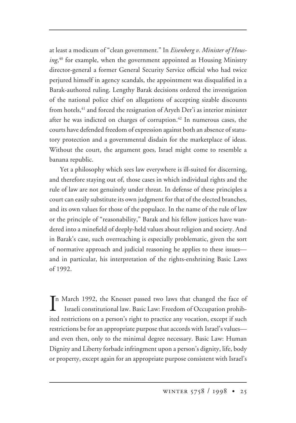at least a modicum of "clean government." In *Eisenberg v. Minister of Housing*, <sup>40</sup> for example, when the government appointed as Housing Ministry director-general a former General Security Service official who had twice perjured himself in agency scandals, the appointment was disqualified in a Barak-authored ruling. Lengthy Barak decisions ordered the investigation of the national police chief on allegations of accepting sizable discounts from hotels,<sup>41</sup> and forced the resignation of Aryeh Der'i as interior minister after he was indicted on charges of corruption.<sup>42</sup> In numerous cases, the courts have defended freedom of expression against both an absence of statutory protection and a governmental disdain for the marketplace of ideas. Without the court, the argument goes, Israel might come to resemble a banana republic.

Yet a philosophy which sees law everywhere is ill-suited for discerning, and therefore staying out of, those cases in which individual rights and the rule of law are not genuinely under threat. In defense of these principles a court can easily substitute its own judgment for that of the elected branches, and its own values for those of the populace. In the name of the rule of law or the principle of "reasonability," Barak and his fellow justices have wandered into a minefield of deeply-held values about religion and society. And in Barak's case, such overreaching is especially problematic, given the sort of normative approach and judicial reasoning he applies to these issues and in particular, his interpretation of the rights-enshrining Basic Laws of 1992.

In March 1992, the Knesset passed two laws that changed the face of Israeli constitutional law. Basic Law: Freedom of Occupation prohibitional Israeli constitutional law. Basic Law: Freedom of Occupation prohibited restrictions on a person's right to practice any vocation, except if such restrictions be for an appropriate purpose that accords with Israel's values and even then, only to the minimal degree necessary. Basic Law: Human Dignity and Liberty forbade infringment upon a person's dignity, life, body or property, except again for an appropriate purpose consistent with Israel's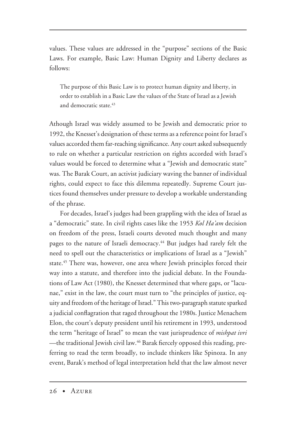values. These values are addressed in the "purpose" sections of the Basic Laws. For example, Basic Law: Human Dignity and Liberty declares as follows:

The purpose of this Basic Law is to protect human dignity and liberty, in order to establish in a Basic Law the values of the State of Israel as a Jewish and democratic state.<sup>43</sup>

Athough Israel was widely assumed to be Jewish and democratic prior to 1992, the Knesset's designation of these terms as a reference point for Israel's values accorded them far-reaching significance. Any court asked subsequently to rule on whether a particular restriction on rights accorded with Israel's values would be forced to determine what a "Jewish and democratic state" was. The Barak Court, an activist judiciary waving the banner of individual rights, could expect to face this dilemma repeatedly. Supreme Court justices found themselves under pressure to develop a workable understanding of the phrase.

For decades, Israel's judges had been grappling with the idea of Israel as a "democratic" state. In civil rights cases like the 1953 *Kol Ha'am* decision on freedom of the press, Israeli courts devoted much thought and many pages to the nature of Israeli democracy.<sup>44</sup> But judges had rarely felt the need to spell out the characteristics or implications of Israel as a "Jewish" state.<sup>45</sup> There was, however, one area where Jewish principles forced their way into a statute, and therefore into the judicial debate. In the Foundations of Law Act (1980), the Knesset determined that where gaps, or "lacunae," exist in the law, the court must turn to "the principles of justice, equity and freedom of the heritage of Israel." This two-paragraph statute sparked a judicial conflagration that raged throughout the 1980s. Justice Menachem Elon, the court's deputy president until his retirement in 1993, understood the term "heritage of Israel" to mean the vast jurisprudence of *mishpat ivri* —the traditional Jewish civil law.46 Barak fiercely opposed this reading, preferring to read the term broadly, to include thinkers like Spinoza. In any event, Barak's method of legal interpretation held that the law almost never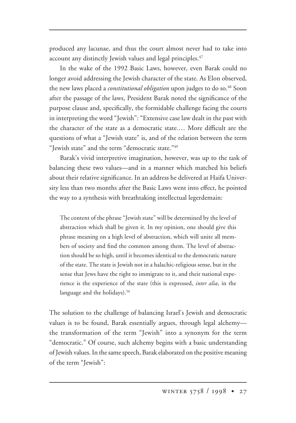produced any lacunae, and thus the court almost never had to take into account any distinctly Jewish values and legal principles.<sup>47</sup>

In the wake of the 1992 Basic Laws, however, even Barak could no longer avoid addressing the Jewish character of the state. As Elon observed, the new laws placed a *constitutional obligation* upon judges to do so.48 Soon after the passage of the laws, President Barak noted the significance of the purpose clause and, specifically, the formidable challenge facing the courts in interpreting the word "Jewish": "Extensive case law dealt in the past with the character of the state as a democratic state.… More difficult are the questions of what a "Jewish state" is, and of the relation between the term "Jewish state" and the term "democratic state."49

Barak's vivid interpretive imagination, however, was up to the task of balancing these two values—and in a manner which matched his beliefs about their relative significance. In an address he delivered at Haifa University less than two months after the Basic Laws went into effect, he pointed the way to a synthesis with breathtaking intellectual legerdemain:

The content of the phrase "Jewish state" will be determined by the level of abstraction which shall be given it. In my opinion, one should give this phrase meaning on a high level of abstraction, which will unite all members of society and find the common among them. The level of abstraction should be so high, until it becomes identical to the democratic nature of the state. The state is Jewish not in a halachic-religious sense, but in the sense that Jews have the right to immigrate to it, and their national experience is the experience of the state (this is expressed, *inter alia*, in the language and the holidays).<sup>50</sup>

The solution to the challenge of balancing Israel's Jewish and democratic values is to be found, Barak essentially argues, through legal alchemy the transformation of the term "Jewish" into a synonym for the term "democratic." Of course, such alchemy begins with a basic understanding of Jewish values. In the same speech, Barak elaborated on the positive meaning of the term "Jewish":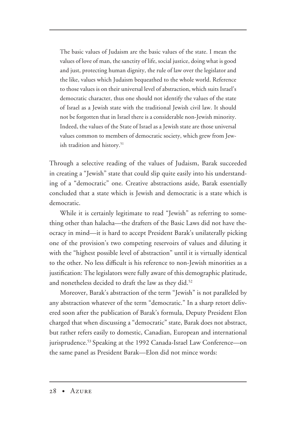The basic values of Judaism are the basic values of the state. I mean the values of love of man, the sanctity of life, social justice, doing what is good and just, protecting human dignity, the rule of law over the legislator and the like, values which Judaism bequeathed to the whole world. Reference to those values is on their universal level of abstraction, which suits Israel's democratic character, thus one should not identify the values of the state of Israel as a Jewish state with the traditional Jewish civil law. It should not be forgotten that in Israel there is a considerable non-Jewish minority. Indeed, the values of the State of Israel as a Jewish state are those universal values common to members of democratic society, which grew from Jewish tradition and history.<sup>51</sup>

Through a selective reading of the values of Judaism, Barak succeeded in creating a "Jewish" state that could slip quite easily into his understanding of a "democratic" one. Creative abstractions aside, Barak essentially concluded that a state which is Jewish and democratic is a state which is democratic.

While it is certainly legitimate to read "Jewish" as referring to something other than halacha—the drafters of the Basic Laws did not have theocracy in mind—it is hard to accept President Barak's unilaterally picking one of the provision's two competing reservoirs of values and diluting it with the "highest possible level of abstraction" until it is virtually identical to the other. No less difficult is his reference to non-Jewish minorities as a justification: The legislators were fully aware of this demographic platitude, and nonetheless decided to draft the law as they did.<sup>52</sup>

Moreover, Barak's abstraction of the term "Jewish" is not paralleled by any abstraction whatever of the term "democratic." In a sharp retort delivered soon after the publication of Barak's formula, Deputy President Elon charged that when discussing a "democratic" state, Barak does not abstract, but rather refers easily to domestic, Canadian, European and international jurisprudence.<sup>53</sup> Speaking at the 1992 Canada-Israel Law Conference—on the same panel as President Barak—Elon did not mince words: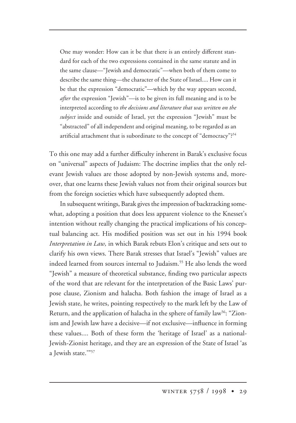One may wonder: How can it be that there is an entirely different standard for each of the two expressions contained in the same statute and in the same clause—"Jewish and democratic"—when both of them come to describe the same thing—the character of the State of Israel.... How can it be that the expression "democratic"—which by the way appears second, *after* the expression "Jewish"—is to be given its full meaning and is to be interpreted according to *the decisions and literature that was written on the subject* inside and outside of Israel, yet the expression "Jewish" must be "abstracted" of all independent and original meaning, to be regarded as an artificial attachment that is subordinate to the concept of "democracy"?<sup>54</sup>

To this one may add a further difficulty inherent in Barak's exclusive focus on "universal" aspects of Judaism: The doctrine implies that the only relevant Jewish values are those adopted by non-Jewish systems and, moreover, that one learns these Jewish values not from their original sources but from the foreign societies which have subsequently adopted them.

In subsequent writings, Barak gives the impression of backtracking somewhat, adopting a position that does less apparent violence to the Knesset's intention without really changing the practical implications of his conceptual balancing act. His modified position was set out in his 1994 book *Interpretation in Law,* in which Barak rebuts Elon's critique and sets out to clarify his own views. There Barak stresses that Israel's "Jewish" values are indeed learned from sources internal to Judaism.<sup>55</sup> He also lends the word "Jewish" a measure of theoretical substance, finding two particular aspects of the word that are relevant for the interpretation of the Basic Laws' purpose clause, Zionism and halacha. Both fashion the image of Israel as a Jewish state, he writes, pointing respectively to the mark left by the Law of Return, and the application of halacha in the sphere of family law<sup>56</sup>: "Zionism and Jewish law have a decisive—if not exclusive—influence in forming these values.... Both of these form the 'heritage of Israel' as a national-Jewish-Zionist heritage, and they are an expression of the State of Israel 'as a Jewish state.'"57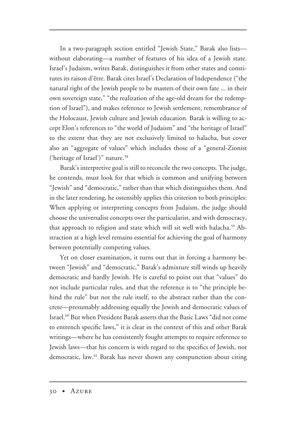In a two-paragraph section entitled "Jewish State," Barak also lists without elaborating—a number of features of his idea of a Jewish state. Israel's Judaism, writes Barak, distinguishes it from other states and constitutes its raison d'être. Barak cites Israel's Declaration of Independence ("the natural right of the Jewish people to be masters of their own fate ... in their own sovereign state," "the realization of the age-old dream for the redemption of Israel"), and makes reference to Jewish settlement, remembrance of the Holocaust, Jewish culture and Jewish education. Barak is willing to accept Elon's references to "the world of Judaism" and "the heritage of Israel" to the extent that they are not exclusively limited to halacha, but cover also an "aggregate of values" which includes those of a "general-Zionist ('heritage of Israel')" nature.<sup>58</sup>

Barak's interpretive goal is still to reconcile the two concepts. The judge, he contends, must look for that which is common and unifying between "Jewish" and "democratic," rather than that which distinguishes them. And in the later rendering, he ostensibly applies this criterion to both principles: When applying or interpreting concepts from Judaism, the judge should choose the universalist concepts over the particularist, and with democracy, that approach to religion and state which will sit well with halacha.<sup>59</sup> Abstraction at a high level remains essential for achieving the goal of harmony between potentially competing values.

Yet on closer examination, it turns out that in forcing a harmony between "Jewish" and "democratic," Barak's admixture still winds up heavily democratic and hardly Jewish. He is careful to point out that "values" do not include particular rules, and that the reference is to "the principle behind the rule" but not the rule itself, to the abstract rather than the concrete—presumably addressing equally the Jewish and democratic values of Israel.60 But when President Barak asserts that the Basic Laws "did not come to entrench specific laws," it is clear in the context of this and other Barak writings—where he has consistently fought attempts to require reference to Jewish laws—that his concern is with regard to the specifics of Jewish, not democratic, law.<sup>61</sup> Barak has never shown any compunction about citing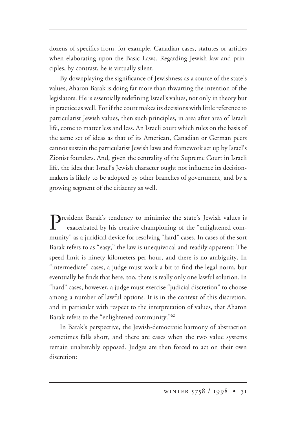dozens of specifics from, for example, Canadian cases, statutes or articles when elaborating upon the Basic Laws. Regarding Jewish law and principles, by contrast, he is virtually silent.

By downplaying the significance of Jewishness as a source of the state's values, Aharon Barak is doing far more than thwarting the intention of the legislators. He is essentially redefining Israel's values, not only in theory but in practice as well. For if the court makes its decisions with little reference to particularist Jewish values, then such principles, in area after area of Israeli life, come to matter less and less. An Israeli court which rules on the basis of the same set of ideas as that of its American, Canadian or German peers cannot sustain the particularist Jewish laws and framework set up by Israel's Zionist founders. And, given the centrality of the Supreme Court in Israeli life, the idea that Israel's Jewish character ought not influence its decisionmakers is likely to be adopted by other branches of government, and by a growing segment of the citizenry as well.

**T** resident Barak's tendency to minimize the state's Jewish values is exacerbated by his creative championing of the "enlightened community" as a juridical device for resolving "hard" cases. In cases of the sort Barak refers to as "easy," the law is unequivocal and readily apparent: The speed limit is ninety kilometers per hour, and there is no ambiguity. In "intermediate" cases, a judge must work a bit to find the legal norm, but eventually he finds that here, too, there is really only one lawful solution. In "hard" cases, however, a judge must exercise "judicial discretion" to choose among a number of lawful options. It is in the context of this discretion, and in particular with respect to the interpretation of values, that Aharon Barak refers to the "enlightened community."62

In Barak's perspective, the Jewish-democratic harmony of abstraction sometimes falls short, and there are cases when the two value systems remain unalterably opposed. Judges are then forced to act on their own discretion: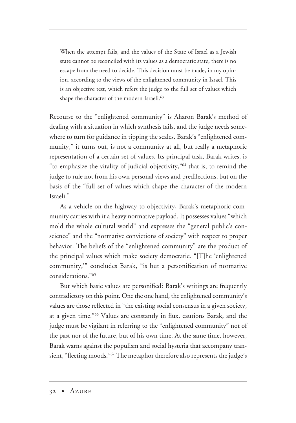When the attempt fails, and the values of the State of Israel as a Jewish state cannot be reconciled with its values as a democratic state, there is no escape from the need to decide. This decision must be made, in my opinion, according to the views of the enlightened community in Israel. This is an objective test, which refers the judge to the full set of values which shape the character of the modern Israeli.<sup>63</sup>

Recourse to the "enlightened community" is Aharon Barak's method of dealing with a situation in which synthesis fails, and the judge needs somewhere to turn for guidance in tipping the scales. Barak's "enlightened community," it turns out, is not a community at all, but really a metaphoric representation of a certain set of values. Its principal task, Barak writes, is "to emphasize the vitality of judicial objectivity,"64 that is, to remind the judge to rule not from his own personal views and predilections, but on the basis of the "full set of values which shape the character of the modern Israeli."

As a vehicle on the highway to objectivity, Barak's metaphoric community carries with it a heavy normative payload. It possesses values "which mold the whole cultural world" and expresses the "general public's conscience" and the "normative convictions of society" with respect to proper behavior. The beliefs of the "enlightened community" are the product of the principal values which make society democratic. "[T]he 'enlightened community,'" concludes Barak, "is but a personification of normative considerations."65

But which basic values are personified? Barak's writings are frequently contradictory on this point. One the one hand, the enlightened community's values are those reflected in "the existing social consensus in a given society, at a given time."66 Values are constantly in flux, cautions Barak, and the judge must be vigilant in referring to the "enlightened community" not of the past nor of the future, but of his own time. At the same time, however, Barak warns against the populism and social hysteria that accompany transient, "fleeting moods."<sup>67</sup> The metaphor therefore also represents the judge's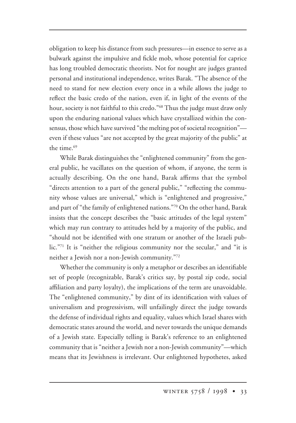obligation to keep his distance from such pressures—in essence to serve as a bulwark against the impulsive and fickle mob, whose potential for caprice has long troubled democratic theorists. Not for nought are judges granted personal and institutional independence, writes Barak. "The absence of the need to stand for new election every once in a while allows the judge to reflect the basic credo of the nation, even if, in light of the events of the hour, society is not faithful to this credo."68 Thus the judge must draw only upon the enduring national values which have crystallized within the consensus, those which have survived "the melting pot of societal recognition" even if these values "are not accepted by the great majority of the public" at the time.<sup>69</sup>

While Barak distinguishes the "enlightened community" from the general public, he vacillates on the question of whom, if anyone, the term is actually describing. On the one hand, Barak affirms that the symbol "directs attention to a part of the general public," "reflecting the community whose values are universal," which is "enlightened and progressive," and part of "the family of enlightened nations."70 On the other hand, Barak insists that the concept describes the "basic attitudes of the legal system" which may run contrary to attitudes held by a majority of the public, and "should not be identified with one stratum or another of the Israeli public."71 It is "neither the religious community nor the secular," and "it is neither a Jewish nor a non-Jewish community."72

Whether the community is only a metaphor or describes an identifiable set of people (recognizable, Barak's critics say, by postal zip code, social affiliation and party loyalty), the implications of the term are unavoidable. The "enlightened community," by dint of its identification with values of universalism and progressivism, will unfailingly direct the judge towards the defense of individual rights and equality, values which Israel shares with democratic states around the world, and never towards the unique demands of a Jewish state. Especially telling is Barak's reference to an enlightened community that is "neither a Jewish nor a non-Jewish community"—which means that its Jewishness is irrelevant. Our enlightened hypothetes, asked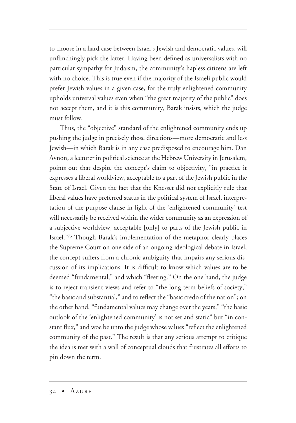to choose in a hard case between Israel's Jewish and democratic values, will unflinchingly pick the latter. Having been defined as universalists with no particular sympathy for Judaism, the community's hapless citizens are left with no choice. This is true even if the majority of the Israeli public would prefer Jewish values in a given case, for the truly enlightened community upholds universal values even when "the great majority of the public" does not accept them, and it is this community, Barak insists, which the judge must follow.

Thus, the "objective" standard of the enlightened community ends up pushing the judge in precisely those directions—more democratic and less Jewish—in which Barak is in any case predisposed to encourage him. Dan Avnon, a lecturer in political science at the Hebrew University in Jerusalem, points out that despite the concept's claim to objectivity, "in practice it expresses a liberal worldview, acceptable to a part of the Jewish public in the State of Israel. Given the fact that the Knesset did not explicitly rule that liberal values have preferred status in the political system of Israel, interpretation of the purpose clause in light of the 'enlightened community' test will necessarily be received within the wider community as an expression of a subjective worldview, acceptable [only] to parts of the Jewish public in Israel."73 Though Barak's implementation of the metaphor clearly places the Supreme Court on one side of an ongoing ideological debate in Israel, the concept suffers from a chronic ambiguity that impairs any serious discussion of its implications. It is difficult to know which values are to be deemed "fundamental," and which "fleeting." On the one hand, the judge is to reject transient views and refer to "the long-term beliefs of society," "the basic and substantial," and to reflect the "basic credo of the nation"; on the other hand, "fundamental values may change over the years," "the basic outlook of the 'enlightened community' is not set and static" but "in constant flux," and woe be unto the judge whose values "reflect the enlightened community of the past." The result is that any serious attempt to critique the idea is met with a wall of conceptual clouds that frustrates all efforts to pin down the term.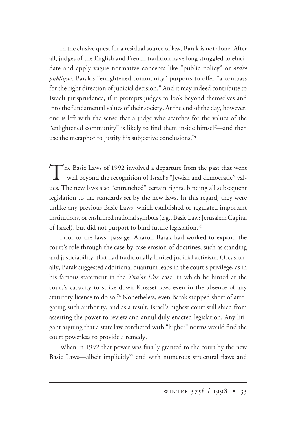In the elusive quest for a residual source of law, Barak is not alone. After all, judges of the English and French tradition have long struggled to elucidate and apply vague normative concepts like "public policy" or *ordre publique*. Barak's "enlightened community" purports to offer "a compass for the right direction of judicial decision." And it may indeed contribute to Israeli jurisprudence, if it prompts judges to look beyond themselves and into the fundamental values of their society. At the end of the day, however, one is left with the sense that a judge who searches for the values of the "enlightened community" is likely to find them inside himself—and then use the metaphor to justify his subjective conclusions.<sup>74</sup>

The Basic Laws of 1992 involved a departure from the past that went well beyond the recognition of Israel's "Jewish and democratic" values. The new laws also "entrenched" certain rights, binding all subsequent legislation to the standards set by the new laws. In this regard, they were unlike any previous Basic Laws, which established or regulated important institutions, or enshrined national symbols (e.g., Basic Law: Jerusalem Capital of Israel), but did not purport to bind future legislation.<sup>75</sup>

Prior to the laws' passage, Aharon Barak had worked to expand the court's role through the case-by-case erosion of doctrines, such as standing and justiciability, that had traditionally limited judicial activism. Occasionally, Barak suggested additional quantum leaps in the court's privilege, as in his famous statement in the *Tnu'at L'or* case, in which he hinted at the court's capacity to strike down Knesset laws even in the absence of any statutory license to do so.<sup>76</sup> Nonetheless, even Barak stopped short of arrogating such authority, and as a result, Israel's highest court still shied from asserting the power to review and annul duly enacted legislation. Any litigant arguing that a state law conflicted with "higher" norms would find the court powerless to provide a remedy.

When in 1992 that power was finally granted to the court by the new Basic Laws—albeit implicitly<sup>77</sup> and with numerous structural flaws and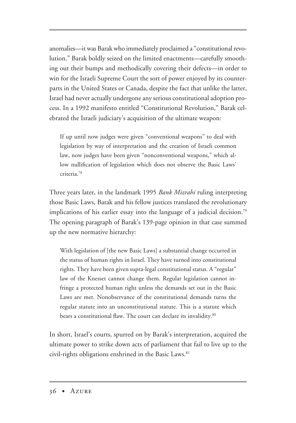anomalies—it was Barak who immediately proclaimed a "constitutional revolution." Barak boldly seized on the limited enactments—carefully smoothing out their bumps and methodically covering their defects—in order to win for the Israeli Supreme Court the sort of power enjoyed by its counterparts in the United States or Canada, despite the fact that unlike the latter, Israel had never actually undergone any serious constitutional adoption process. In a 1992 manifesto entitled "Constitutional Revolution," Barak celebrated the Israeli judiciary's acquisition of the ultimate weapon:

If up until now judges were given "conventional weapons" to deal with legislation by way of interpretation and the creation of Israeli common law, now judges have been given "nonconventional weapons," which allow nullification of legislation which does not observe the Basic Laws' criteria.78

Three years later, in the landmark 1995 *Bank Mizrahi* ruling interpreting those Basic Laws, Barak and his fellow justices translated the revolutionary implications of his earlier essay into the language of a judicial decision.<sup>79</sup> The opening paragraph of Barak's 139-page opinion in that case summed up the new normative hierarchy:

With legislation of [the new Basic Laws] a substantial change occurred in the status of human rights in Israel. They have turned into constitutional rights. They have been given supra-legal constitutional status. A "regular" law of the Knesset cannot change them. Regular legislation cannot infringe a protected human right unless the demands set out in the Basic Laws are met. Nonobservance of the constitutional demands turns the regular statute into an unconstitutional statute. This is a statute which bears a constitutional flaw. The court can declare its invalidity.<sup>80</sup>

In short, Israel's courts, spurred on by Barak's interpretation, acquired the ultimate power to strike down acts of parliament that fail to live up to the civil-rights obligations enshrined in the Basic Laws.<sup>81</sup>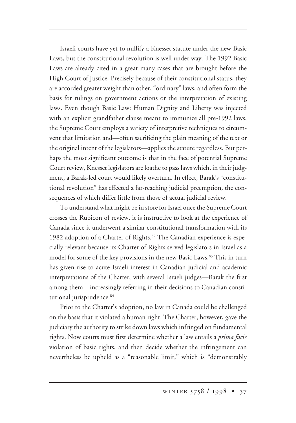Israeli courts have yet to nullify a Knesset statute under the new Basic Laws, but the constitutional revolution is well under way. The 1992 Basic Laws are already cited in a great many cases that are brought before the High Court of Justice. Precisely because of their constitutional status, they are accorded greater weight than other, "ordinary" laws, and often form the basis for rulings on government actions or the interpretation of existing laws. Even though Basic Law: Human Dignity and Liberty was injected with an explicit grandfather clause meant to immunize all pre-1992 laws, the Supreme Court employs a variety of interpretive techniques to circumvent that limitation and—often sacrificing the plain meaning of the text or the original intent of the legislators—applies the statute regardless. But perhaps the most significant outcome is that in the face of potential Supreme Court review, Knesset legislators are loathe to pass laws which, in their judgment, a Barak-led court would likely overturn. In effect, Barak's "constitutional revolution" has effected a far-reaching judicial preemption, the consequences of which differ little from those of actual judicial review.

To understand what might be in store for Israel once the Supreme Court crosses the Rubicon of review, it is instructive to look at the experience of Canada since it underwent a similar constitutional transformation with its 1982 adoption of a Charter of Rights.<sup>82</sup> The Canadian experience is especially relevant because its Charter of Rights served legislators in Israel as a model for some of the key provisions in the new Basic Laws.<sup>83</sup> This in turn has given rise to acute Israeli interest in Canadian judicial and academic interpretations of the Charter, with several Israeli judges—Barak the first among them—increasingly referring in their decisions to Canadian constitutional jurisprudence.<sup>84</sup>

Prior to the Charter's adoption, no law in Canada could be challenged on the basis that it violated a human right. The Charter, however, gave the judiciary the authority to strike down laws which infringed on fundamental rights. Now courts must first determine whether a law entails a *prima facie* violation of basic rights, and then decide whether the infringement can nevertheless be upheld as a "reasonable limit," which is "demonstrably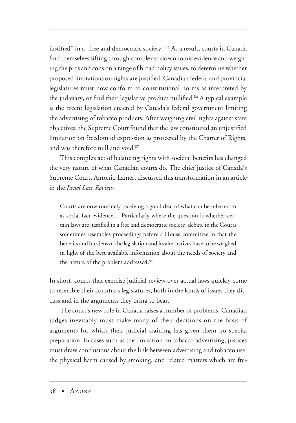justified" in a "free and democratic society."85 As a result, courts in Canada find themselves sifting through complex socioeconomic evidence and weighing the pros and cons on a range of broad policy issues, to determine whether proposed limitations on rights are justified. Canadian federal and provincial legislatures must now conform to constitutional norms as interpreted by the judiciary, or find their legislative product nullified.<sup>86</sup> A typical example is the recent legislation enacted by Canada's federal government limiting the advertising of tobacco products. After weighing civil rights against state objectives, the Supreme Court found that the law constituted an unjustified limitation on freedom of expression as protected by the Charter of Rights, and was therefore null and void.87

This complex act of balancing rights with societal benefits has changed the very nature of what Canadian courts do. The chief justice of Canada's Supreme Court, Antonio Lamer, discussed this transformation in an article in the *Israel Law Review*:

Courts are now routinely receiving a good deal of what can be referred to as social fact evidence.... Particularly where the question is whether certain laws are justified in a free and democratic society, debate in the Courts sometimes resembles proceedings before a House committee in that the benefits and burdens of the legislation and its alternatives have to be weighed in light of the best available information about the needs of society and the nature of the problem addressed.<sup>88</sup>

In short, courts that exercise judicial review over actual laws quickly come to resemble their country's legislatures, both in the kinds of issues they discuss and in the arguments they bring to bear.

The court's new role in Canada raises a number of problems. Canadian judges inevitably must make many of their decisions on the basis of arguments for which their judicial training has given them no special preparation. In cases such as the limitation on tobacco advertising, justices must draw conclusions about the link between advertising and tobacco use, the physical harm caused by smoking, and related matters which are fre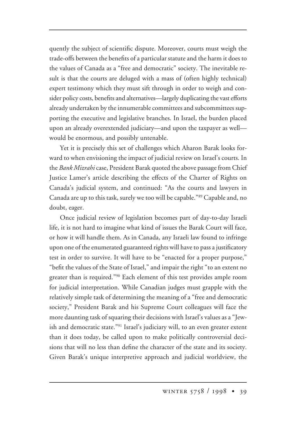quently the subject of scientific dispute. Moreover, courts must weigh the trade-offs between the benefits of a particular statute and the harm it does to the values of Canada as a "free and democratic" society. The inevitable result is that the courts are deluged with a mass of (often highly technical) expert testimony which they must sift through in order to weigh and consider policy costs, benefits and alternatives—largely duplicating the vast efforts already undertaken by the innumerable committees and subcommittees supporting the executive and legislative branches. In Israel, the burden placed upon an already overextended judiciary—and upon the taxpayer as well would be enormous, and possibly untenable.

Yet it is precisely this set of challenges which Aharon Barak looks forward to when envisioning the impact of judicial review on Israel's courts. In the *Bank Mizrahi* case, President Barak quoted the above passage from Chief Justice Lamer's article describing the effects of the Charter of Rights on Canada's judicial system, and continued: "As the courts and lawyers in Canada are up to this task, surely we too will be capable."89 Capable and, no doubt, eager.

Once judicial review of legislation becomes part of day-to-day Israeli life, it is not hard to imagine what kind of issues the Barak Court will face, or how it will handle them. As in Canada, any Israeli law found to infringe upon one of the enumerated guaranteed rights will have to pass a justificatory test in order to survive. It will have to be "enacted for a proper purpose," "befit the values of the State of Israel," and impair the right "to an extent no greater than is required."<sup>90</sup> Each element of this test provides ample room for judicial interpretation. While Canadian judges must grapple with the relatively simple task of determining the meaning of a "free and democratic society," President Barak and his Supreme Court colleagues will face the more daunting task of squaring their decisions with Israel's values as a "Jewish and democratic state."91 Israel's judiciary will, to an even greater extent than it does today, be called upon to make politically controversial decisions that will no less than define the character of the state and its society. Given Barak's unique interpretive approach and judicial worldview, the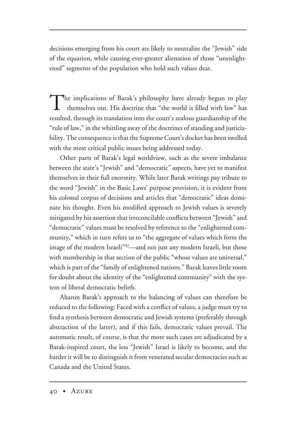decisions emerging from his court are likely to neutralize the "Jewish" side of the equation, while causing ever-greater alienation of those "unenlightened" segments of the population who hold such values dear.

The implications of Barak's philosophy have already begun to play themselves out. His doctrine that "the world is filled with law" has resulted, through its translation into the court's zealous guardianship of the "rule of law," in the whittling away of the doctrines of standing and justiciability. The consequence is that the Supreme Court's docket has been swelled with the most critical public issues being addressed today.

Other parts of Barak's legal worldview, such as the severe imbalance between the state's "Jewish" and "democratic" aspects, have yet to manifest themselves in their full enormity. While later Barak writings pay tribute to the word "Jewish" in the Basic Laws' purpose provision, it is evident from his colossal corpus of decisions and articles that "democratic" ideas dominate his thought. Even his modified approach to Jewish values is severely mitigated by his assertion that irreconcilable conflicts between "Jewish" and "democratic" values must be resolved by reference to the "enlightened community," which in turn refers us to "the aggregate of values which form the image of the modern Israeli"92—and not just any modern Israeli, but those with membership in that section of the public "whose values are universal," which is part of the "family of enlightened nations." Barak leaves little room for doubt about the identity of the "enlightened community" with the system of liberal democratic beliefs.

Aharon Barak's approach to the balancing of values can therefore be reduced to the following: Faced with a conflict of values, a judge must try to find a synthesis between democratic and Jewish systems (preferably through abstraction of the latter), and if this fails, democratic values prevail. The automatic result, of course, is that the more such cases are adjudicated by a Barak-inspired court, the less "Jewish" Israel is likely to become, and the harder it will be to distinguish it from venerated secular democracies such as Canada and the United States.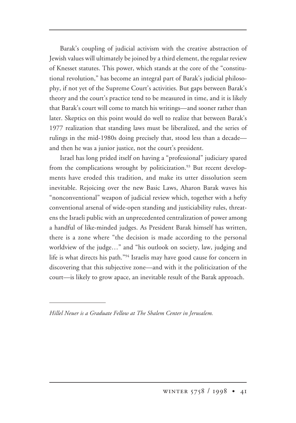Barak's coupling of judicial activism with the creative abstraction of Jewish values will ultimately be joined by a third element, the regular review of Knesset statutes. This power, which stands at the core of the "constitutional revolution," has become an integral part of Barak's judicial philosophy, if not yet of the Supreme Court's activities. But gaps between Barak's theory and the court's practice tend to be measured in time, and it is likely that Barak's court will come to match his writings—and sooner rather than later. Skeptics on this point would do well to realize that between Barak's 1977 realization that standing laws must be liberalized, and the series of rulings in the mid-1980s doing precisely that, stood less than a decade and then he was a junior justice, not the court's president.

Israel has long prided itself on having a "professional" judiciary spared from the complications wrought by politicization.<sup>93</sup> But recent developments have eroded this tradition, and make its utter dissolution seem inevitable. Rejoicing over the new Basic Laws, Aharon Barak waves his "nonconventional" weapon of judicial review which, together with a hefty conventional arsenal of wide-open standing and justiciability rules, threatens the Israeli public with an unprecedented centralization of power among a handful of like-minded judges. As President Barak himself has written, there is a zone where "the decision is made according to the personal worldview of the judge…" and "his outlook on society, law, judging and life is what directs his path."94 Israelis may have good cause for concern in discovering that this subjective zone—and with it the politicization of the court—is likely to grow apace, an inevitable result of the Barak approach.

*Hillel Neuer is a Graduate Fellow at The Shalem Center in Jerusalem.*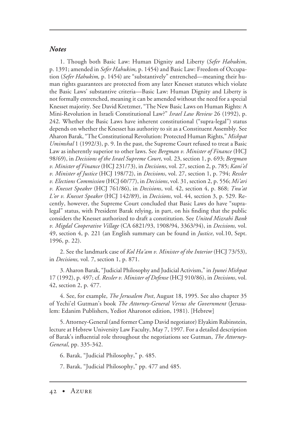## *Notes*

1. Though both Basic Law: Human Dignity and Liberty (*Sefer Hahukim*, p. 1391; amended in *Sefer Hahukim,* p. 1454) and Basic Law: Freedom of Occupation (*Sefer Hahukim,* p. 1454) are "substantively" entrenched—meaning their human rights guarantees are protected from any later Knesset statutes which violate the Basic Laws' substantive criteria—Basic Law: Human Dignity and Liberty is not formally entrenched, meaning it can be amended without the need for a special Knesset majority. See David Kretzmer, "The New Basic Laws on Human Rights: A Mini-Revolution in Israeli Constitutional Law?" *Israel Law Review* 26 (1992), p. 242. Whether the Basic Laws have inherent constitutional ("supra-legal") status depends on whether the Knesset has authority to sit as a Constituent Assembly. See Aharon Barak, "The Constitutional Revolution: Protected Human Rights," *Mishpat Umimshal* 1 (1992/3), p. 9. In the past, the Supreme Court refused to treat a Basic Law as inherently superior to other laws. See *Bergman v. Minister of Finance* (HCJ 98/69), in *Decisions of the Israel Supreme Court*, vol. 23, section 1, p. 693; *Bergman v. Minister of Finance* (HCJ 231/73), in *Decisions*, vol. 27, section 2, p. 785; *Kani'el v. Minister of Justice* (HCJ 198/72), in *Decisions*, vol. 27, section 1, p. 794; *Ressler v. Elections Commission* (HCJ 60/77), in *Decisions*, vol. 31, section 2, p. 556; *Mi'ari v. Knesset Speaker* (HCJ 761/86), in *Decisions*, vol. 42, section 4, p. 868; *Tnu'at L'or v. Knesset Speaker* (HCJ 142/89), in *Decisions*, vol. 44, section 3, p. 529. Recently, however, the Supreme Court concluded that Basic Laws do have "supralegal" status, with President Barak relying, in part, on his finding that the public considers the Knesset authorized to draft a constitution. See *United Mizrahi Bank v. Migdal Cooperative Village* (CA 6821/93, 1908/94, 3363/94), in *Decisions,* vol. 49, section 4, p. 221 (an English summary can be found in *Justice*, vol.10, Sept. 1996, p. 22).

2. See the landmark case of *Kol Ha'am v. Minister of the Interior* (HCJ 73/53), in *Decisions,* vol. 7, section 1, p. 871.

3. Aharon Barak, "Judicial Philosophy and Judicial Activism," in *Iyunei Mishpat* 17 (1992), p. 497; cf. *Ressler v. Minister of Defense* (HCJ 910/86), in *Decisions*, vol. 42, section 2, p. 477.

4. See, for example, *The Jerusalem Post*, August 18, 1995. See also chapter 35 of Yechi'el Gutman's book *The Attorney-General Versus the Government* (Jerusalem: Edanim Publishers, Yediot Aharonot edition, 1981). [Hebrew]

5. Attorney-General (and former Camp David negotiator) Elyakim Rubinstein, lecture at Hebrew University Law Faculty, May 7, 1997. For a detailed description of Barak's influential role throughout the negotiations see Gutman, *The Attorney-General*, pp. 335-342.

6. Barak, "Judicial Philosophy," p. 485.

7. Barak, "Judicial Philosophy," pp. 477 and 485.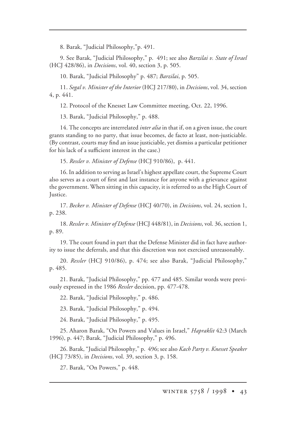8. Barak, "Judicial Philosophy,"p. 491.

9. See Barak, "Judicial Philosophy," p. 491; see also *Barzilai v. State of Israel* (HCJ 428/86), in *Decisions*, vol. 40, section 3, p. 505.

10. Barak, "Judicial Philosophy" p. 487; *Barzilai*, p. 505.

11. *Segal v. Minister of the Interior* (HCJ 217/80), in *Decisions*, vol. 34, section 4, p. 441.

12. Protocol of the Knesset Law Committee meeting, Oct. 22, 1996.

13. Barak, "Judicial Philosophy," p. 488.

14. The concepts are interrelated *inter alia* in that if, on a given issue, the court grants standing to no party, that issue becomes, de facto at least, non-justiciable. (By contrast, courts may find an issue justiciable, yet dismiss a particular petitioner for his lack of a sufficient interest in the case.)

15. *Ressler v. Minister of Defense* (HCJ 910/86), p. 441.

16. In addition to serving as Israel's highest appellate court, the Supreme Court also serves as a court of first and last instance for anyone with a grievance against the government. When sitting in this capacity, it is referred to as the High Court of Justice.

17. *Becker v. Minister of Defense* (HCJ 40/70), in *Decisions*, vol. 24, section 1, p. 238.

18. *Ressler v. Minister of Defense* (HCJ 448/81), in *Decisions*, vol. 36, section 1, p. 89.

19. The court found in part that the Defense Minister did in fact have authority to issue the deferrals, and that this discretion was not exercised unreasonably.

20. *Ressler* (HCJ 910/86), p. 474; see also Barak, "Judicial Philosophy," p. 485.

21. Barak, "Judicial Philosophy," pp. 477 and 485. Similar words were previously expressed in the 1986 *Ressler* decision, pp. 477-478.

22. Barak, "Judicial Philosophy," p. 486.

23. Barak, "Judicial Philosophy," p. 494.

24. Barak, "Judicial Philosophy," p. 495.

25. Aharon Barak, "On Powers and Values in Israel," *Hapraklit* 42:3 (March 1996), p. 447; Barak, "Judicial Philosophy," p. 496.

26. Barak, "Judicial Philosophy," p. 496; see also *Kach Party v. Knesset Speaker* (HCJ 73/85), in *Decisions*, vol. 39, section 3, p. 158.

27. Barak, "On Powers," p. 448.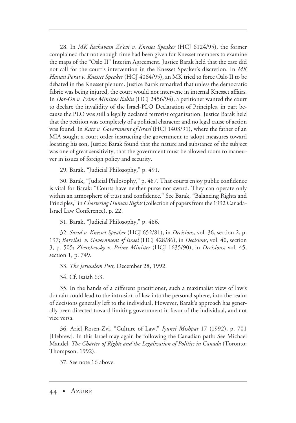28. In *MK Rechavam Ze'evi v. Knesset Speaker* (HCJ 6124/95), the former complained that not enough time had been given for Knesset members to examine the maps of the "Oslo II" Interim Agreement. Justice Barak held that the case did not call for the court's intervention in the Knesset Speaker's discretion. In *MK Hanan Porat v. Knesset Speaker* (HCJ 4064/95), an MK tried to force Oslo II to be debated in the Knesset plenum. Justice Barak remarked that unless the democratic fabric was being injured, the court would not intervene in internal Knesset affairs. In *Dor-On v. Prime Minister Rabin* (HCJ 2456/94), a petitioner wanted the court to declare the invalidity of the Israel-PLO Declaration of Principles, in part because the PLO was still a legally declared terrorist organization. Justice Barak held that the petition was completely of a political character and no legal cause of action was found. In *Katz v. Government of Israel* (HCJ 1403/91), where the father of an MIA sought a court order instructing the government to adopt measures toward locating his son, Justice Barak found that the nature and substance of the subject was one of great sensitivity, that the government must be allowed room to maneuver in issues of foreign policy and security.

29. Barak, "Judicial Philosophy," p. 491.

30. Barak, "Judicial Philosophy," p. 487. That courts enjoy public confidence is vital for Barak: "Courts have neither purse nor sword. They can operate only within an atmosphere of trust and confidence." See Barak, "Balancing Rights and Principles," in *Chartering Human Rights* (collection of papers from the 1992 Canada-Israel Law Conference), p. 22.

31. Barak, "Judicial Philosophy," p. 486.

32. *Sarid v. Knesset Speaker* (HCJ 652/81), in *Decisions*, vol. 36, section 2, p. 197; *Barzilai v. Government of Israel* (HCJ 428/86), in *Decisions*, vol. 40, section 3, p. 505; *Zherzhevsky v. Prime Minister* (HCJ 1635/90), in *Decisions*, vol. 45, section 1, p. 749.

33. *The Jerusalem Post,* December 28, 1992.

34. Cf. Isaiah 6:3.

35. In the hands of a different practitioner, such a maximalist view of law's domain could lead to the intrusion of law into the personal sphere, into the realm of decisions generally left to the individual. However, Barak's approach has generally been directed toward limiting government in favor of the individual, and not vice versa.

36. Ariel Rosen-Zvi, "Culture of Law," *Iyunei Mishpat* 17 (1992), p. 701 [Hebrew]. In this Israel may again be following the Canadian path: See Michael Mandel, *The Charter of Rights and the Legalization of Politics in Canada* (Toronto: Thompson, 1992).

37. See note 16 above.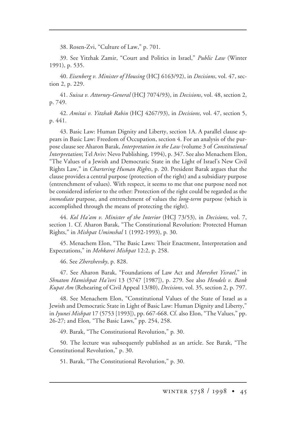38. Rosen-Zvi, "Culture of Law," p. 701.

39. See Yitzhak Zamir, "Court and Politics in Israel," *Public Law* (Winter 1991), p. 535.

40. *Eisenberg v. Minister of Housing* (HCJ 6163/92), in *Decisions*, vol. 47, section 2, p. 229.

41. *Suissa v. Attorney-General* (HCJ 7074/93), in *Decisions*, vol. 48, section 2, p. 749.

42. *Amitai v. Yitzhak Rabin* (HCJ 4267/93), in *Decisions*, vol. 47, section 5, p. 441.

43. Basic Law: Human Dignity and Liberty, section 1A. A parallel clause appears in Basic Law: Freedom of Occupation, section 4. For an analysis of the purpose clause see Aharon Barak, *Interpretation in the Law* (volume 3 of *Constitutional Interpretation*; Tel Aviv: Nevo Publishing, 1994), p. 347. See also Menachem Elon, "The Values of a Jewish and Democratic State in the Light of Israel's New Civil Rights Law," in *Chartering Human Rights*, p. 20. President Barak argues that the clause provides a central purpose (protection of the right) and a subsidiary purpose (entrenchment of values). With respect, it seems to me that one purpose need not be considered inferior to the other: Protection of the right could be regarded as the *immediate* purpose, and entrenchment of values the *long-term* purpose (which is accomplished through the means of protecting the right).

44. *Kol Ha'am v. Minister of the Interior* (HCJ 73/53), in *Decisions,* vol. 7, section 1. Cf. Aharon Barak, "The Constitutional Revolution: Protected Human Rights," in *Mishpat Umimshal* 1 (1992-1993), p*.* 30.

45. Menachem Elon, "The Basic Laws: Their Enactment, Interpretation and Expectations," in *Mehkarei Mishpat* 12:2, p. 258.

46. See *Zherzhevsky*, p. 828.

47. See Aharon Barak, "Foundations of Law Act and *Moreshet Yisrael*," in *Shnaton Hamishpat Ha'ivri* 13 (5747 [1987]), p. 279. See also *Hendels v. Bank Kupat Am* (Rehearing of Civil Appeal 13/80), *Decisions*, vol. 35, section 2, p. 797.

48. See Menachem Elon, "Constitutional Values of the State of Israel as a Jewish and Democratic State in Light of Basic Law: Human Dignity and Liberty," in *Iyunei Mishpat* 17 (5753 [1993]), pp. 667-668. Cf. also Elon, "The Values," pp. 26-27; and Elon*,* "The Basic Laws," pp. 254, 258.

49. Barak, "The Constitutional Revolution," p*.* 30.

50. The lecture was subsequently published as an article. See Barak, "The Constitutional Revolution," p. 30.

51. Barak, "The Constitutional Revolution," p. 30.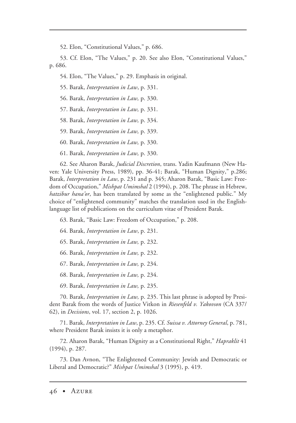52. Elon, "Constitutional Values," p. 686.

53. Cf. Elon, "The Values," p. 20. See also Elon, "Constitutional Values," p. 686.

54. Elon, "The Values," p. 29. Emphasis in original.

55. Barak, *Interpretation in Law*, p. 331.

56. Barak, *Interpretation in Law,* p. 330.

57. Barak, *Interpretation in Law,* p. 331.

58. Barak, *Interpretation in Law,* p. 334.

59. Barak, *Interpretation in Law,* p. 339.

60. Barak, *Interpretation in Law,* p. 330.

61. Barak, *Interpretation in Law,* p. 330.

62. See Aharon Barak, *Judicial Discretion*, trans. Yadin Kaufmann (New Haven: Yale University Press, 1989), pp. 36-41; Barak, "Human Dignity," p.286; Barak, *Interpretation in Law*, p. 231 and p. 345; Aharon Barak, "Basic Law: Freedom of Occupation," *Mishpat Umimshal* 2 (1994), p. 208. The phrase in Hebrew, *hatzibur hana'or*, has been translated by some as the "enlightened public." My choice of "enlightened community" matches the translation used in the Englishlanguage list of publications on the curriculum vitae of President Barak.

63. Barak, "Basic Law: Freedom of Occupation," p. 208.

64. Barak, *Interpretation in Law*, p. 231.

65. Barak, *Interpretation in Law,* p. 232.

66. Barak, *Interpretation in Law,* p. 232.

67. Barak, *Interpretation in Law,* p. 234.

68. Barak, *Interpretation in Law,* p. 234.

69. Barak, *Interpretation in Law,* p. 235.

70. Barak, *Interpretation in Law,* p. 235. This last phrase is adopted by President Barak from the words of Justice Vitkon in *Riesenfeld v. Yakovson* (CA 337/ 62), in *Decisions*, vol. 17, section 2, p. 1026.

71. Barak, *Interpretation in Law*, p. 235. Cf. *Suissa v. Attorney General*, p. 781, where President Barak insists it is only a metaphor.

72. Aharon Barak, "Human Dignity as a Constitutional Right," *Hapraklit* 41 (1994), p. 287.

73. Dan Avnon, "The Enlightened Community: Jewish and Democratic or Liberal and Democratic?" *Mishpat Umimshal* 3 (1995), p. 419.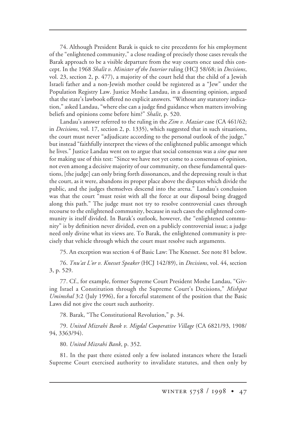74. Although President Barak is quick to cite precedents for his employment of the "enlightened community," a close reading of precisely those cases reveals the Barak approach to be a visible departure from the way courts once used this concept. In the 1968 *Shalit v. Minister of the Interior* ruling (HCJ 58/68; in *Decisions*, vol. 23, section 2, p. 477), a majority of the court held that the child of a Jewish Israeli father and a non-Jewish mother could be registered as a "Jew" under the Population Registry Law. Justice Moshe Landau, in a dissenting opinion, argued that the state's lawbook offered no explicit answers. "Without any statutory indication," asked Landau, "where else can a judge find guidance when matters involving beliefs and opinions come before him?" *Shalit*, p. 520.

Landau's answer referred to the ruling in the *Zim v. Maziar* case (CA 461/62; in *Decisions*, vol. 17, section 2, p. 1335), which suggested that in such situations, the court must never "adjudicate according to the personal outlook of the judge," but instead "faithfully interpret the views of the enlightened public amongst which he lives." Justice Landau went on to argue that social consensus was a *sine qua non* for making use of this test: "Since we have not yet come to a consensus of opinion, not even among a decisive majority of our community, on these fundamental questions, [the judge] can only bring forth dissonances, and the depressing result is that the court, as it were, abandons its proper place above the disputes which divide the public, and the judges themselves descend into the arena." Landau's conclusion was that the court "must resist with all the force at our disposal being dragged along this path." The judge must not try to resolve controversial cases through recourse to the enlightened community, because in such cases the enlightened community is itself divided. In Barak's outlook, however, the "enlightened community" is by definition never divided, even on a publicly controversial issue; a judge need only divine what its views are. To Barak, the enlightened community is precisely that vehicle through which the court must resolve such arguments.

75. An exception was section 4 of Basic Law: The Knesset. See note 81 below.

76. *Tnu'at L'or v. Knesset Speaker* (HCJ 142/89), in *Decisions*, vol. 44, section 3, p. 529.

77. Cf., for example, former Supreme Court President Moshe Landau, "Giving Israel a Constitution through the Supreme Court's Decisions," *Mishpat Umimshal* 3:2 (July 1996), for a forceful statement of the position that the Basic Laws did not give the court such authority.

78. Barak, "The Constitutional Revolution," p. 34.

79. *United Mizrahi Bank v. Migdal Cooperative Village* (CA 6821/93, 1908/ 94, 3363/94).

80. *United Mizrahi Bank*, p. 352.

81. In the past there existed only a few isolated instances where the Israeli Supreme Court exercised authority to invalidate statutes, and then only by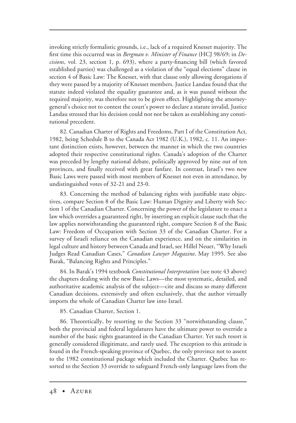invoking strictly formalistic grounds, i.e., lack of a required Knesset majority. The first time this occurred was in *Bergman v. Minister of Finance* (HCJ 98/69; in *Decisions*, vol. 23, section 1, p. 693), where a party-financing bill (which favored established parties) was challenged as a violation of the "equal elections" clause in section 4 of Basic Law: The Knesset, with that clause only allowing derogations if they were passed by a majority of Knesset members. Justice Landau found that the statute indeed violated the equality guarantee and, as it was passed without the required majority, was therefore not to be given effect. Highlighting the attorneygeneral's choice not to contest the court's power to declare a statute invalid, Justice Landau stressed that his decision could not not be taken as establishing any constitutional precedent.

82. Canadian Charter of Rights and Freedoms, Part I of the Constitution Act, 1982, being Schedule B to the Canada Act 1982 (U.K.), 1982, c. 11. An important distinction exists, however, between the manner in which the two countries adopted their respective constitutional rights. Canada's adoption of the Charter was preceded by lengthy national debate, politically approved by nine out of ten provinces, and finally received with great fanfare. In contrast, Israel's two new Basic Laws were passed with most members of Knesset not even in attendance, by undistinguished votes of 32-21 and 23-0.

83. Concerning the method of balancing rights with justifiable state objectives, compare Section 8 of the Basic Law: Human Dignity and Liberty with Section 1 of the Canadian Charter. Concerning the power of the legislature to enact a law which overrides a guaranteed right, by inserting an explicit clause such that the law applies notwithstanding the guaranteed right, compare Section 8 of the Basic Law: Freedom of Occupation with Section 33 of the Canadian Charter. For a survey of Israeli reliance on the Canadian experience, and on the similarities in legal culture and history between Canada and Israel, see Hillel Neuer, "Why Israeli Judges Read Canadian Cases," *Canadian Lawyer Magazine*, May 1995. See also Barak, "Balancing Rights and Principles."

84. In Barak's 1994 textbook *Constitutional Interpretation* (see note 43 above) the chapters dealing with the new Basic Laws—the most systematic, detailed, and authoritative academic analysis of the subject—cite and discuss so many different Canadian decisions, extensively and often exclusively, that the author virtually imports the whole of Canadian Charter law into Israel.

85. Canadian Charter, Section 1.

86. Theoretically, by resorting to the Section 33 "notwithstanding clause," both the provincial and federal legislatures have the ultimate power to override a number of the basic rights guaranteed in the Canadian Charter. Yet such resort is generally considered illegitimate, and rarely used. The exception to this attitude is found in the French-speaking province of Quebec, the only province not to assent to the 1982 constitutional package which included the Charter. Quebec has resorted to the Section 33 override to safeguard French-only language laws from the